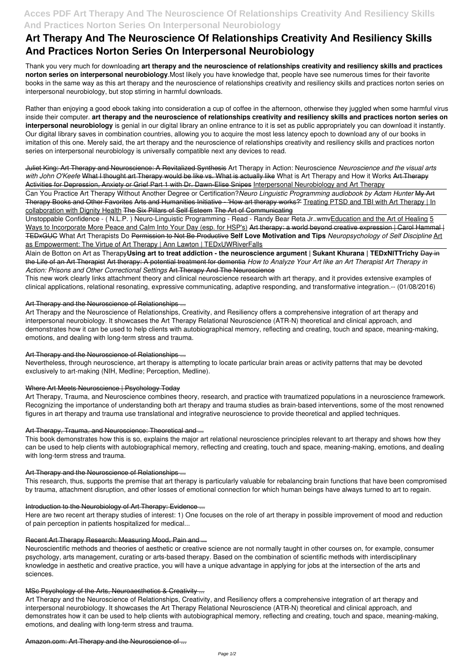# **Acces PDF Art Therapy And The Neuroscience Of Relationships Creativity And Resiliency Skills And Practices Norton Series On Interpersonal Neurobiology**

# **Art Therapy And The Neuroscience Of Relationships Creativity And Resiliency Skills And Practices Norton Series On Interpersonal Neurobiology**

Thank you very much for downloading **art therapy and the neuroscience of relationships creativity and resiliency skills and practices norton series on interpersonal neurobiology**.Most likely you have knowledge that, people have see numerous times for their favorite books in the same way as this art therapy and the neuroscience of relationships creativity and resiliency skills and practices norton series on interpersonal neurobiology, but stop stirring in harmful downloads.

Rather than enjoying a good ebook taking into consideration a cup of coffee in the afternoon, otherwise they juggled when some harmful virus inside their computer. **art therapy and the neuroscience of relationships creativity and resiliency skills and practices norton series on interpersonal neurobiology** is genial in our digital library an online entrance to it is set as public appropriately you can download it instantly. Our digital library saves in combination countries, allowing you to acquire the most less latency epoch to download any of our books in imitation of this one. Merely said, the art therapy and the neuroscience of relationships creativity and resiliency skills and practices norton series on interpersonal neurobiology is universally compatible next any devices to read.

Unstoppable Confidence - (N.L.P.) Neuro-Linguistic Programming - Read - Randy Bear Reta Jr..wmvEducation and the Art of Healing 5 Ways to Incorporate More Peace and Calm Into Your Day (esp. for HSP's) Art therapy: a world beyond creative expression | Carol Hammal | TEDxGUC What Art Therapists Do Permission to Not Be Productive **Self Love Motivation and Tips** *Neuropsychology of Self Discipline* Art as Empowerment: The Virtue of Art Therapy | Ann Lawton | TEDxUWRiverFalls

Juliet King: Art Therapy and Neuroscience: A Revitalized Synthesis Art Therapy in Action: Neuroscience *Neuroscience and the visual arts* with John O'Keefe What I thought art Therapy would be like vs. What is actually like What is Art Therapy and How it Works Art Therapy Activities for Depression, Anxiety or Grief Part 1 with Dr. Dawn-Elise Snipes Interpersonal Neurobiology and Art Therapy

Can You Practice Art Therapy Without Another Degree or Certification?*Neuro Linguistic Programming audiobook by Adam Hunter* My Art Therapy Books and Other Favorites Arts and Humanities Initiative - 'How art therapy works?' Treating PTSD and TBI with Art Therapy | In collaboration with Dignity Health The Six Pillars of Self Esteem The Art of Communicating

Alain de Botton on Art as Therapy**Using art to treat addiction - the neuroscience argument | Sukant Khurana | TEDxNITTrichy** Day in the Life of an Art Therapist Art therapy: A potential treatment for dementia *How to Analyze Your Art like an Art Therapist Art Therapy in Action: Prisons and Other Correctional Settings* Art Therapy And The Neuroscience

This new work clearly links attachment theory and clinical neuroscience research with art therapy, and it provides extensive examples of clinical applications, relational resonating, expressive communicating, adaptive responding, and transformative integration.-- (01/08/2016)

# Art Therapy and the Neuroscience of Relationships ...

Art Therapy and the Neuroscience of Relationships, Creativity, and Resiliency offers a comprehensive integration of art therapy and interpersonal neurobiology. It showcases the Art Therapy Relational Neuroscience (ATR-N) theoretical and clinical approach, and demonstrates how it can be used to help clients with autobiographical memory, reflecting and creating, touch and space, meaning-making, emotions, and dealing with long-term stress and trauma.

# Art Therapy and the Neuroscience of Relationships ...

Nevertheless, through neuroscience, art therapy is attempting to locate particular brain areas or activity patterns that may be devoted exclusively to art-making (NIH, Medline; Perception, Medline).

# Where Art Meets Neuroscience | Psychology Today

Art Therapy, Trauma, and Neuroscience combines theory, research, and practice with traumatized populations in a neuroscience framework. Recognizing the importance of understanding both art therapy and trauma studies as brain-based interventions, some of the most renowned figures in art therapy and trauma use translational and integrative neuroscience to provide theoretical and applied techniques.

# Art Therapy, Trauma, and Neuroscience: Theoretical and ...

This book demonstrates how this is so, explains the major art relational neuroscience principles relevant to art therapy and shows how they can be used to help clients with autobiographical memory, reflecting and creating, touch and space, meaning-making, emotions, and dealing with long-term stress and trauma.

# Art Therapy and the Neuroscience of Relationships ...

This research, thus, supports the premise that art therapy is particularly valuable for rebalancing brain functions that have been compromised by trauma, attachment disruption, and other losses of emotional connection for which human beings have always turned to art to regain.

# Introduction to the Neurobiology of Art Therapy: Evidence ...

Here are two recent art therapy studies of interest: 1) One focuses on the role of art therapy in possible improvement of mood and reduction of pain perception in patients hospitalized for medical...

### Recent Art Therapy Research: Measuring Mood, Pain and ...

Neuroscientific methods and theories of aesthetic or creative science are not normally taught in other courses on, for example, consumer psychology, arts management, curating or arts-based therapy. Based on the combination of scientific methods with interdisciplinary knowledge in aesthetic and creative practice, you will have a unique advantage in applying for jobs at the intersection of the arts and sciences.

#### MSc Psychology of the Arts, Neuroaesthetics & Creativity ...

Art Therapy and the Neuroscience of Relationships, Creativity, and Resiliency offers a comprehensive integration of art therapy and interpersonal neurobiology. It showcases the Art Therapy Relational Neuroscience (ATR-N) theoretical and clinical approach, and demonstrates how it can be used to help clients with autobiographical memory, reflecting and creating, touch and space, meaning-making, emotions, and dealing with long-term stress and trauma.

Amazon.com: Art Therapy and the Neuroscience of ...